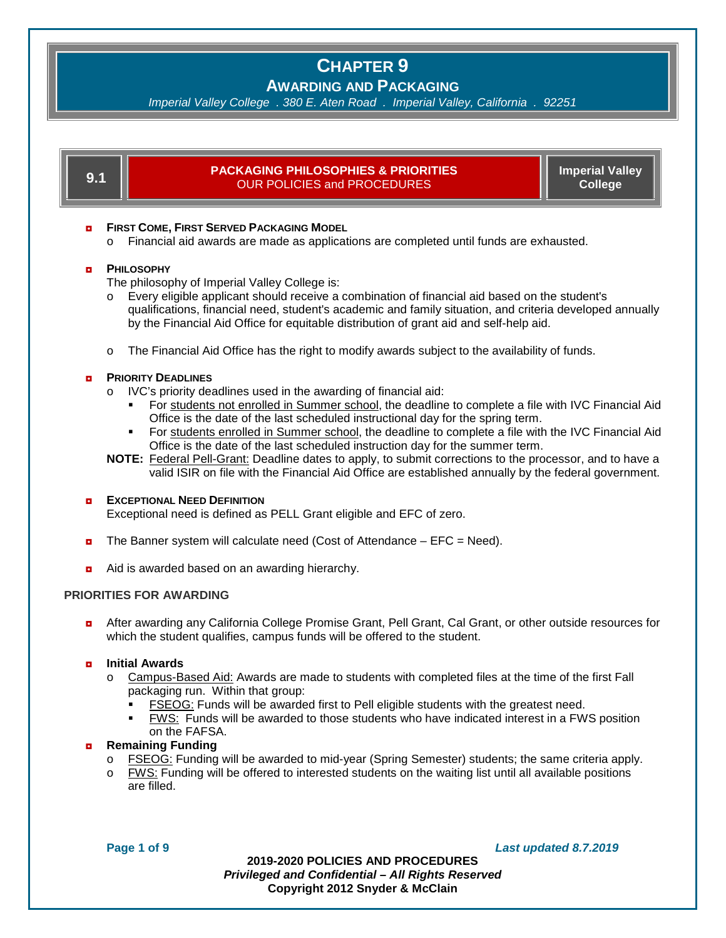# **AWARDING AND PACKAGING**

*Imperial Valley College . 380 E. Aten Road . Imperial Valley, California . 92251*

| 9.1                                                                                                                                                       | <b>Imperial Valley</b><br><b>PACKAGING PHILOSOPHIES &amp; PRIORITIES</b><br><b>OUR POLICIES and PROCEDURES</b><br><b>College</b>                                                                                                                                                                                                                                                                                                                                                                                                                                                                                                                                                                                 |  |  |
|-----------------------------------------------------------------------------------------------------------------------------------------------------------|------------------------------------------------------------------------------------------------------------------------------------------------------------------------------------------------------------------------------------------------------------------------------------------------------------------------------------------------------------------------------------------------------------------------------------------------------------------------------------------------------------------------------------------------------------------------------------------------------------------------------------------------------------------------------------------------------------------|--|--|
| <b>FIRST COME, FIRST SERVED PACKAGING MODEL</b><br>ø<br>Financial aid awards are made as applications are completed until funds are exhausted.<br>$\circ$ |                                                                                                                                                                                                                                                                                                                                                                                                                                                                                                                                                                                                                                                                                                                  |  |  |
| ø                                                                                                                                                         | <b>PHILOSOPHY</b><br>The philosophy of Imperial Valley College is:<br>Every eligible applicant should receive a combination of financial aid based on the student's<br>$\circ$<br>qualifications, financial need, student's academic and family situation, and criteria developed annually<br>by the Financial Aid Office for equitable distribution of grant aid and self-help aid.                                                                                                                                                                                                                                                                                                                             |  |  |
|                                                                                                                                                           | The Financial Aid Office has the right to modify awards subject to the availability of funds.<br>$\circ$                                                                                                                                                                                                                                                                                                                                                                                                                                                                                                                                                                                                         |  |  |
| ø                                                                                                                                                         | <b>PRIORITY DEADLINES</b><br>IVC's priority deadlines used in the awarding of financial aid:<br>$\circ$<br>For students not enrolled in Summer school, the deadline to complete a file with IVC Financial Aid<br>Office is the date of the last scheduled instructional day for the spring term.<br>For students enrolled in Summer school, the deadline to complete a file with the IVC Financial Aid<br>٠<br>Office is the date of the last scheduled instruction day for the summer term.<br>NOTE: Federal Pell-Grant: Deadline dates to apply, to submit corrections to the processor, and to have a<br>valid ISIR on file with the Financial Aid Office are established annually by the federal government. |  |  |
| Þ                                                                                                                                                         | <b>EXCEPTIONAL NEED DEFINITION</b><br>Exceptional need is defined as PELL Grant eligible and EFC of zero.                                                                                                                                                                                                                                                                                                                                                                                                                                                                                                                                                                                                        |  |  |
| ø                                                                                                                                                         | The Banner system will calculate need (Cost of Attendance $-$ EFC = Need).                                                                                                                                                                                                                                                                                                                                                                                                                                                                                                                                                                                                                                       |  |  |
| $\bullet$                                                                                                                                                 | Aid is awarded based on an awarding hierarchy.                                                                                                                                                                                                                                                                                                                                                                                                                                                                                                                                                                                                                                                                   |  |  |
| <b>PRIORITIES FOR AWARDING</b>                                                                                                                            |                                                                                                                                                                                                                                                                                                                                                                                                                                                                                                                                                                                                                                                                                                                  |  |  |
| $\bullet$                                                                                                                                                 | After awarding any California College Promise Grant, Pell Grant, Cal Grant, or other outside resources for<br>which the student qualifies, campus funds will be offered to the student.                                                                                                                                                                                                                                                                                                                                                                                                                                                                                                                          |  |  |
| o                                                                                                                                                         | <b>Initial Awards</b><br>Campus-Based Aid: Awards are made to students with completed files at the time of the first Fall<br>O<br>packaging run. Within that group:<br><b>FSEOG:</b> Funds will be awarded first to Pell eligible students with the greatest need.<br><b>FWS:</b> Funds will be awarded to those students who have indicated interest in a FWS position<br>٠<br>on the FAFSA.                                                                                                                                                                                                                                                                                                                    |  |  |
| $\bullet$                                                                                                                                                 | <b>Remaining Funding</b><br>FSEOG: Funding will be awarded to mid-year (Spring Semester) students; the same criteria apply.<br>$\circ$<br>FWS: Funding will be offered to interested students on the waiting list until all available positions<br>$\circ$<br>are filled.                                                                                                                                                                                                                                                                                                                                                                                                                                        |  |  |

**Page 1 of 9** *Last updated 8.7.2019*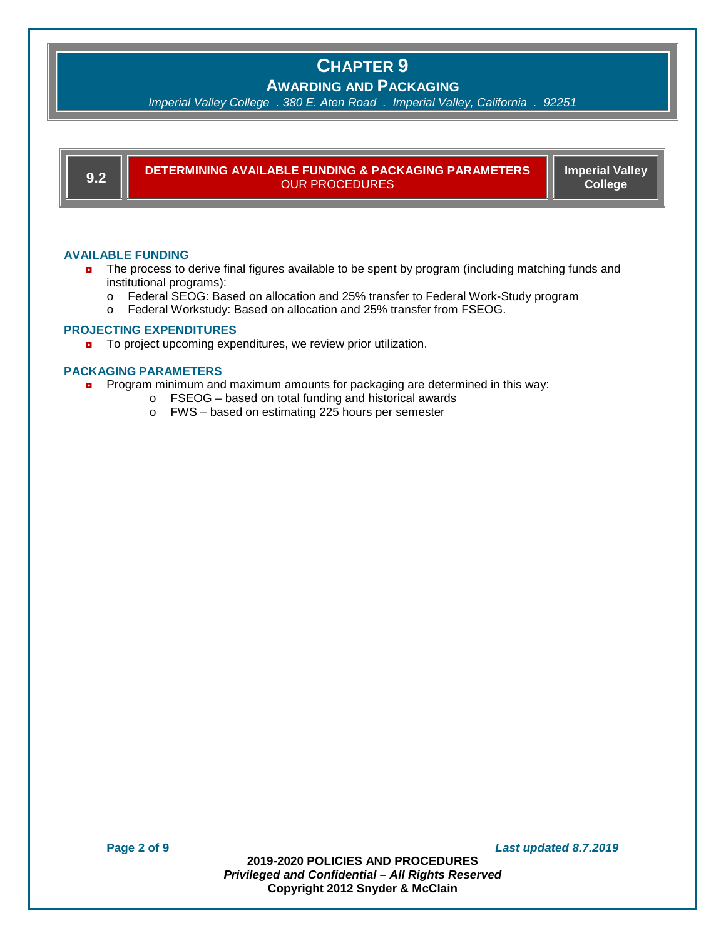# **AWARDING AND PACKAGING**

*Imperial Valley College . 380 E. Aten Road . Imperial Valley, California . 92251*

**9.2 DETERMINING AVAILABLE FUNDING & PACKAGING PARAMETERS** OUR PROCEDURES

<u> 1989 - Johann Stein, marwolaethau a bh</u>

**Imperial Valley College**

## **AVAILABLE FUNDING**

- **n** The process to derive final figures available to be spent by program (including matching funds and institutional programs):
	- o Federal SEOG: Based on allocation and 25% transfer to Federal Work-Study program<br>
	o Federal Workstudy: Based on allocation and 25% transfer from FSEOG.
	- Federal Workstudy: Based on allocation and 25% transfer from FSEOG.

#### **PROJECTING EXPENDITURES**

■ To project upcoming expenditures, we review prior utilization.

### **PACKAGING PARAMETERS**

- **n** Program minimum and maximum amounts for packaging are determined in this way:
	- o FSEOG based on total funding and historical awards
		- o FWS based on estimating 225 hours per semester

**Page 2 of 9** *Last updated 8.7.2019*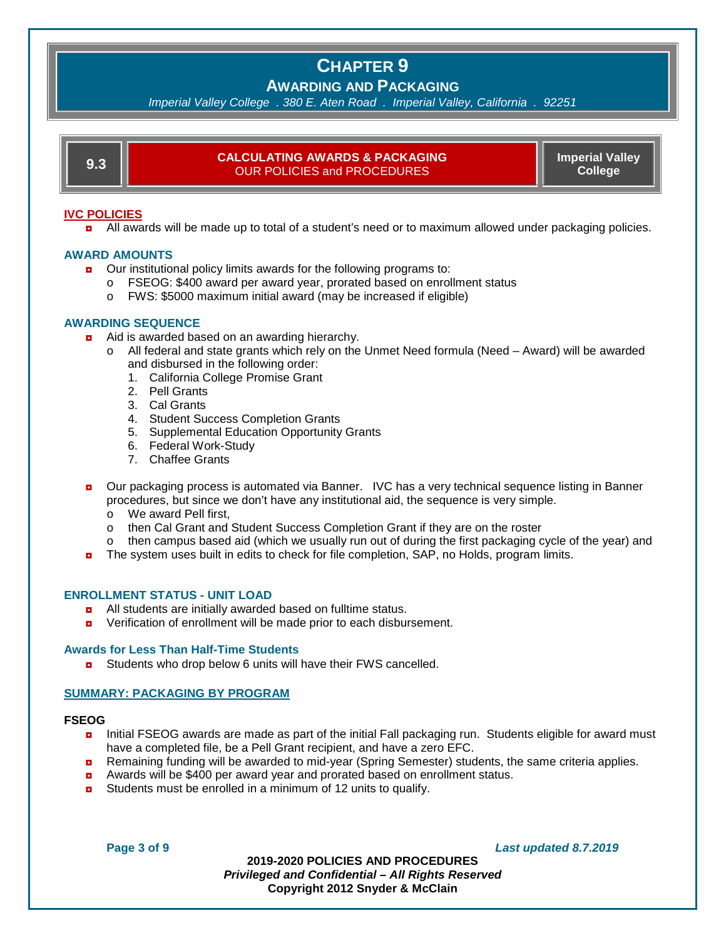# **AWARDING AND PACKAGING**

*Imperial Valley College . 380 E. Aten Road . Imperial Valley, California . 92251*

| <b>CALCULATING AWARDS &amp; PACKAGING</b><br><b>Imperial Valley</b><br>ก ว<br><b>College</b><br><b>OUR POLICIES and PROCEDURES</b> |
|------------------------------------------------------------------------------------------------------------------------------------|
|------------------------------------------------------------------------------------------------------------------------------------|

#### **IVC POLICIES**

**a** All awards will be made up to total of a student's need or to maximum allowed under packaging policies.

#### **AWARD AMOUNTS**

- **D** Our institutional policy limits awards for the following programs to:
	- o FSEOG: \$400 award per award year, prorated based on enrollment status
	- o FWS: \$5000 maximum initial award (may be increased if eligible)

#### **AWARDING SEQUENCE**

- Aid is awarded based on an awarding hierarchy.
	- o All federal and state grants which rely on the Unmet Need formula (Need Award) will be awarded and disbursed in the following order:
		- 1. California College Promise Grant
		- 2. Pell Grants
		- 3. Cal Grants
		- 4. Student Success Completion Grants
		- 5. Supplemental Education Opportunity Grants
		- 6. Federal Work-Study
		- 7. Chaffee Grants
- **D** Our packaging process is automated via Banner. IVC has a very technical sequence listing in Banner procedures, but since we don't have any institutional aid, the sequence is very simple.
	- o We award Pell first,
	- o then Cal Grant and Student Success Completion Grant if they are on the roster
	- $\circ$  then campus based aid (which we usually run out of during the first packaging cycle of the year) and
- **n** The system uses built in edits to check for file completion, SAP, no Holds, program limits.

#### **ENROLLMENT STATUS - UNIT LOAD**

- ◘ All students are initially awarded based on fulltime status.
- ◘ Verification of enrollment will be made prior to each disbursement.

#### **Awards for Less Than Half-Time Students**

■ Students who drop below 6 units will have their FWS cancelled.

#### **SUMMARY: PACKAGING BY PROGRAM**

#### **FSEOG**

- ◘ Initial FSEOG awards are made as part of the initial Fall packaging run. Students eligible for award must have a completed file, be a Pell Grant recipient, and have a zero EFC.
- **n** Remaining funding will be awarded to mid-year (Spring Semester) students, the same criteria applies.
- ◘ Awards will be \$400 per award year and prorated based on enrollment status.
- **D** Students must be enrolled in a minimum of 12 units to qualify.

**Page 3 of 9** *Last updated 8.7.2019*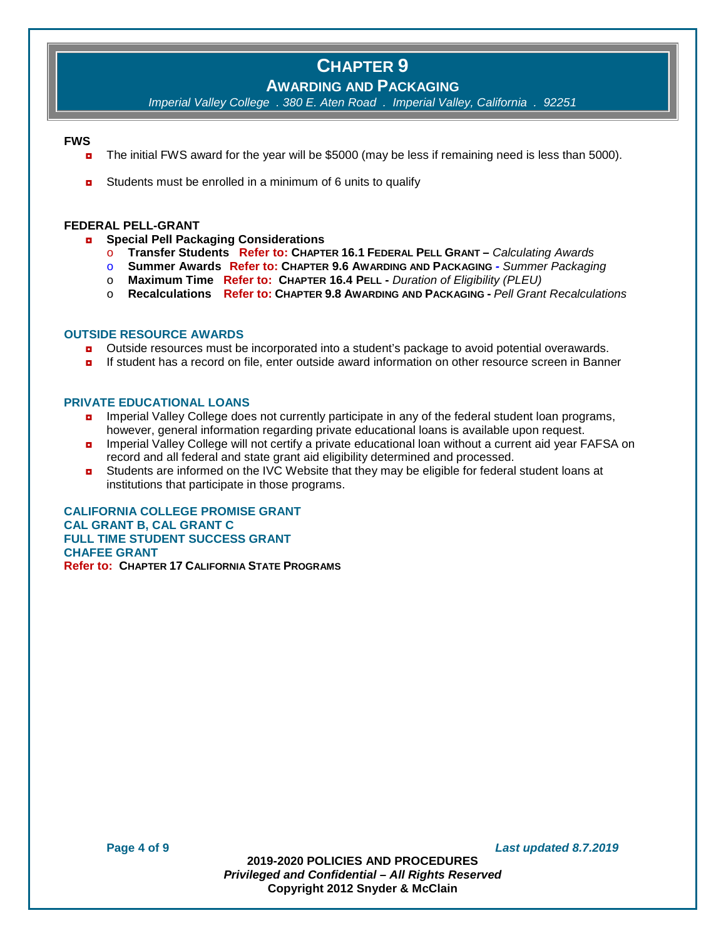# **AWARDING AND PACKAGING**

*Imperial Valley College . 380 E. Aten Road . Imperial Valley, California . 92251*

#### **FWS**

- The initial FWS award for the year will be \$5000 (may be less if remaining need is less than 5000).
- **D** Students must be enrolled in a minimum of 6 units to qualify

#### **FEDERAL PELL-GRANT**

- ◘ **Special Pell Packaging Considerations**
	- o **Transfer Students Refer to: CHAPTER 16.1 FEDERAL PELL GRANT –** *Calculating Awards*
	- o **Summer Awards Refer to: CHAPTER 9.6 AWARDING AND PACKAGING** *- Summer Packaging*
	- o **Maximum Time Refer to: CHAPTER 16.4 PELL -** *Duration of Eligibility (PLEU)*
	- o **Recalculations Refer to: CHAPTER 9.8 AWARDING AND PACKAGING -** *Pell Grant Recalculations*

#### **OUTSIDE RESOURCE AWARDS**

- **D** Outside resources must be incorporated into a student's package to avoid potential overawards.
- ◘ If student has a record on file, enter outside award information on other resource screen in Banner

#### **PRIVATE EDUCATIONAL LOANS**

- **n** Imperial Valley College does not currently participate in any of the federal student loan programs, however, general information regarding private educational loans is available upon request.
- **n** Imperial Valley College will not certify a private educational loan without a current aid year FAFSA on record and all federal and state grant aid eligibility determined and processed.
- **D** Students are informed on the IVC Website that they may be eligible for federal student loans at institutions that participate in those programs.

**CALIFORNIA COLLEGE PROMISE GRANT CAL GRANT B, CAL GRANT C FULL TIME STUDENT SUCCESS GRANT CHAFEE GRANT Refer to: CHAPTER 17 CALIFORNIA STATE PROGRAMS**

**Page 4 of 9** *Last updated 8.7.2019*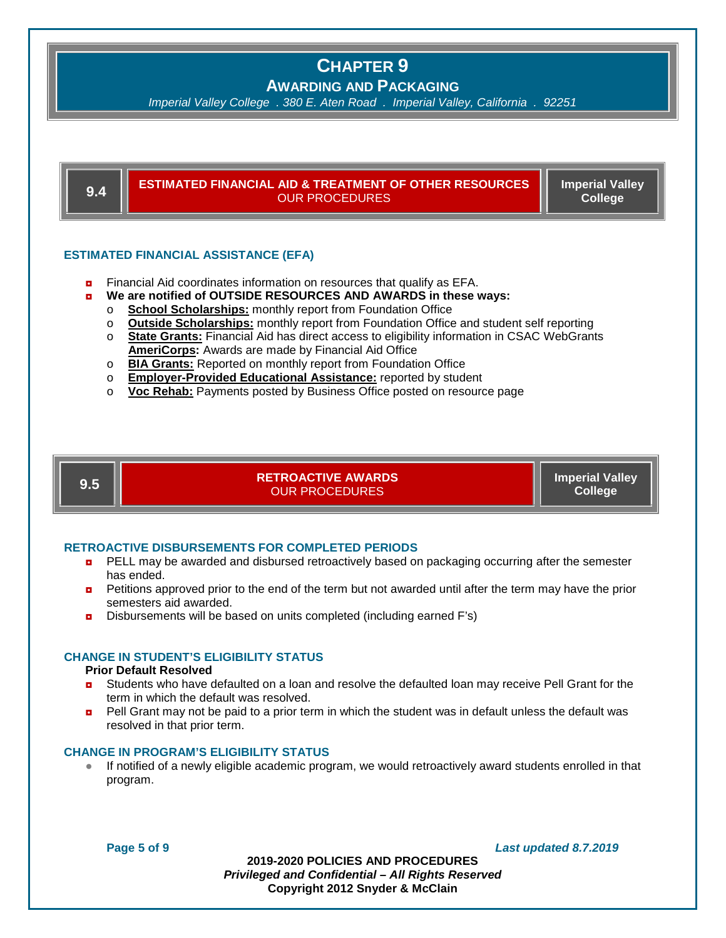**AWARDING AND PACKAGING**

*Imperial Valley College . 380 E. Aten Road . Imperial Valley, California . 92251*

**9.4 ESTIMATED FINANCIAL AID & TREATMENT OF OTHER RESOURCES** OUR PROCEDURES **Imperial Valley College**

#### **ESTIMATED FINANCIAL ASSISTANCE (EFA)**

- **<u>n</u>** Financial Aid coordinates information on resources that qualify as EFA.
- ◘ **We are notified of OUTSIDE RESOURCES AND AWARDS in these ways:**
	- **School Scholarships:** monthly report from Foundation Office<br>○ **Outside Scholarships:** monthly report from Foundation Office
	- **Outside Scholarships:** monthly report from Foundation Office and student self reporting
	- o **State Grants:** Financial Aid has direct access to eligibility information in CSAC WebGrants **AmeriCorps:** Awards are made by Financial Aid Office
	- o **BIA Grants:** Reported on monthly report from Foundation Office
	- o **Employer-Provided Educational Assistance:** reported by student
	- o **Voc Rehab:** Payments posted by Business Office posted on resource page

**9.5 RETROACTIVE AWARDS** OUR PROCEDURES

**Imperial Valley College**

#### **RETROACTIVE DISBURSEMENTS FOR COMPLETED PERIODS**

- **D** PELL may be awarded and disbursed retroactively based on packaging occurring after the semester has ended.
- **Petitions approved prior to the end of the term but not awarded until after the term may have the prior** semesters aid awarded.
- ◘ Disbursements will be based on units completed (including earned F's)

## **CHANGE IN STUDENT'S ELIGIBILITY STATUS**

## **Prior Default Resolved**

- **D** Students who have defaulted on a loan and resolve the defaulted loan may receive Pell Grant for the term in which the default was resolved.
- **Pell Grant may not be paid to a prior term in which the student was in default unless the default was** resolved in that prior term.

#### **CHANGE IN PROGRAM'S ELIGIBILITY STATUS**

If notified of a newly eligible academic program, we would retroactively award students enrolled in that program.

**Page 5 of 9** *Last updated 8.7.2019*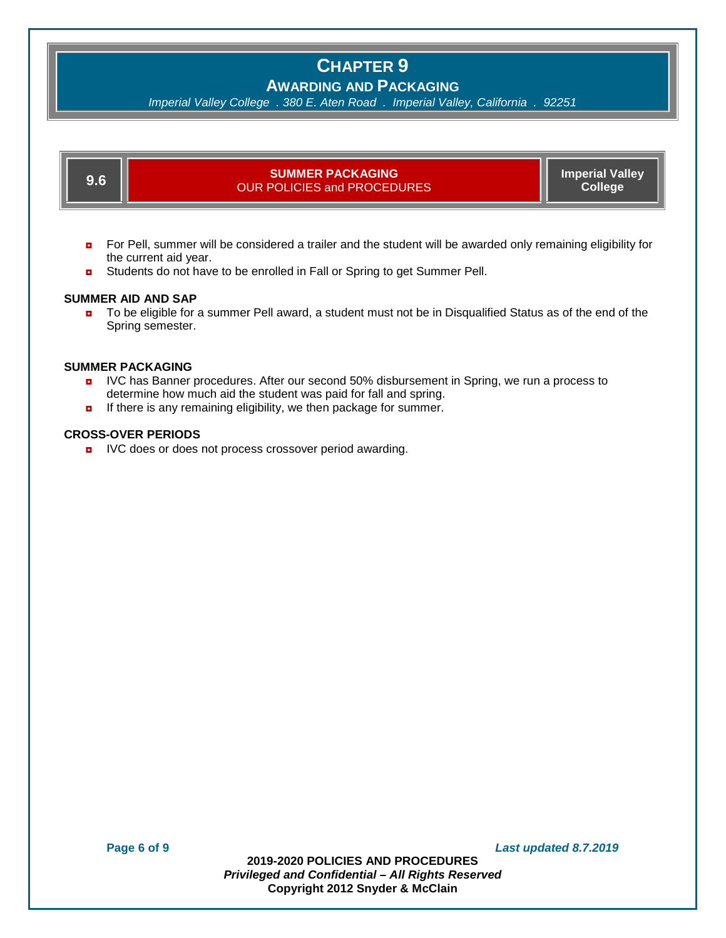# **AWARDING AND PACKAGING**

*Imperial Valley College . 380 E. Aten Road . Imperial Valley, California . 92251*

**9.6 SUMMER PACKAGING** OUR POLICIES and PROCEDURES **Imperial Valley College**

- ◘ For Pell, summer will be considered a trailer and the student will be awarded only remaining eligibility for the current aid year.
- Students do not have to be enrolled in Fall or Spring to get Summer Pell.

### **SUMMER AID AND SAP**

■ To be eligible for a summer Pell award, a student must not be in Disqualified Status as of the end of the Spring semester.

#### **SUMMER PACKAGING**

- **D** IVC has Banner procedures. After our second 50% disbursement in Spring, we run a process to determine how much aid the student was paid for fall and spring.
- **D** If there is any remaining eligibility, we then package for summer.

#### **CROSS-OVER PERIODS**

**D** IVC does or does not process crossover period awarding.

**Page 6 of 9** *Last updated 8.7.2019*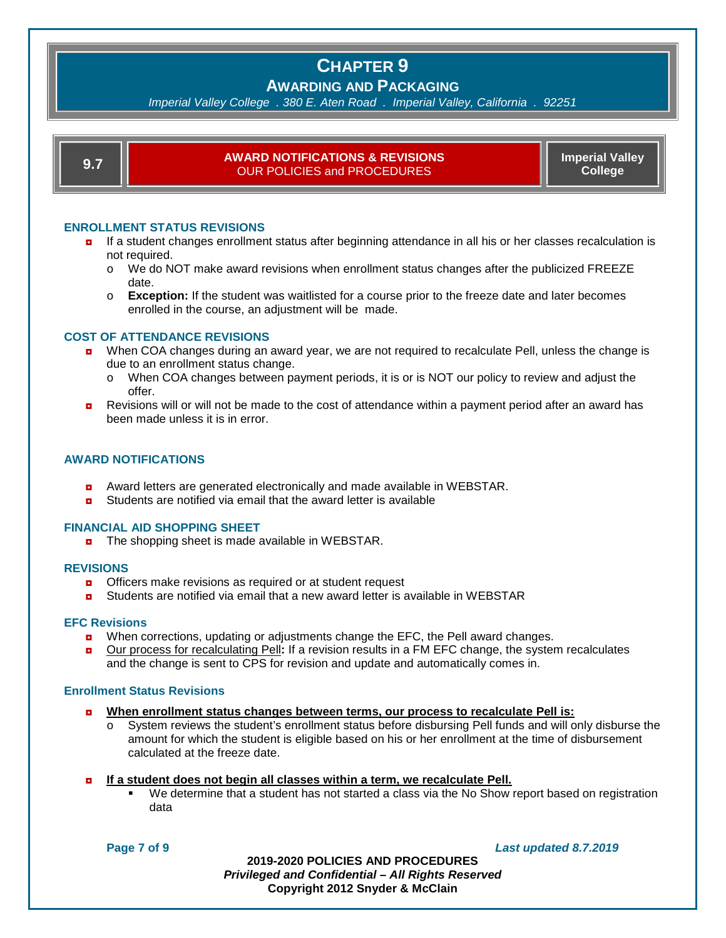# **AWARDING AND PACKAGING**

*Imperial Valley College . 380 E. Aten Road . Imperial Valley, California . 92251*

| ۰. | -<br>- |
|----|--------|

### **9.7 AWARD NOTIFICATIONS & REVISIONS** OUR POLICIES and PROCEDURES

**Imperial Valley College**

## **ENROLLMENT STATUS REVISIONS**

- ◘ If a student changes enrollment status after beginning attendance in all his or her classes recalculation is not required.
	- o We do NOT make award revisions when enrollment status changes after the publicized FREEZE date.
	- o **Exception:** If the student was waitlisted for a course prior to the freeze date and later becomes enrolled in the course, an adjustment will be made.

### **COST OF ATTENDANCE REVISIONS**

- ◘ When COA changes during an award year, we are not required to recalculate Pell, unless the change is due to an enrollment status change.
	- o When COA changes between payment periods, it is or is NOT our policy to review and adjust the offer.
- ◘ Revisions will or will not be made to the cost of attendance within a payment period after an award has been made unless it is in error.

## **AWARD NOTIFICATIONS**

- Award letters are generated electronically and made available in WEBSTAR.
- Students are notified via email that the award letter is available

### **FINANCIAL AID SHOPPING SHEET**

■ The shopping sheet is made available in WEBSTAR.

### **REVISIONS**

- $\blacksquare$  Officers make revisions as required or at student request
- **<u>n</u>** Students are notified via email that a new award letter is available in WEBSTAR

#### **EFC Revisions**

- **D** When corrections, updating or adjustments change the EFC, the Pell award changes.
- ◘ Our process for recalculating Pell**:** If a revision results in a FM EFC change, the system recalculates and the change is sent to CPS for revision and update and automatically comes in.

## **Enrollment Status Revisions**

- ◘ **When enrollment status changes between terms, our process to recalculate Pell is:** 
	- o System reviews the student's enrollment status before disbursing Pell funds and will only disburse the amount for which the student is eligible based on his or her enrollment at the time of disbursement calculated at the freeze date.

#### ◘ **If a student does not begin all classes within a term, we recalculate Pell.**

 We determine that a student has not started a class via the No Show report based on registration data

**Page 7 of 9** *Last updated 8.7.2019*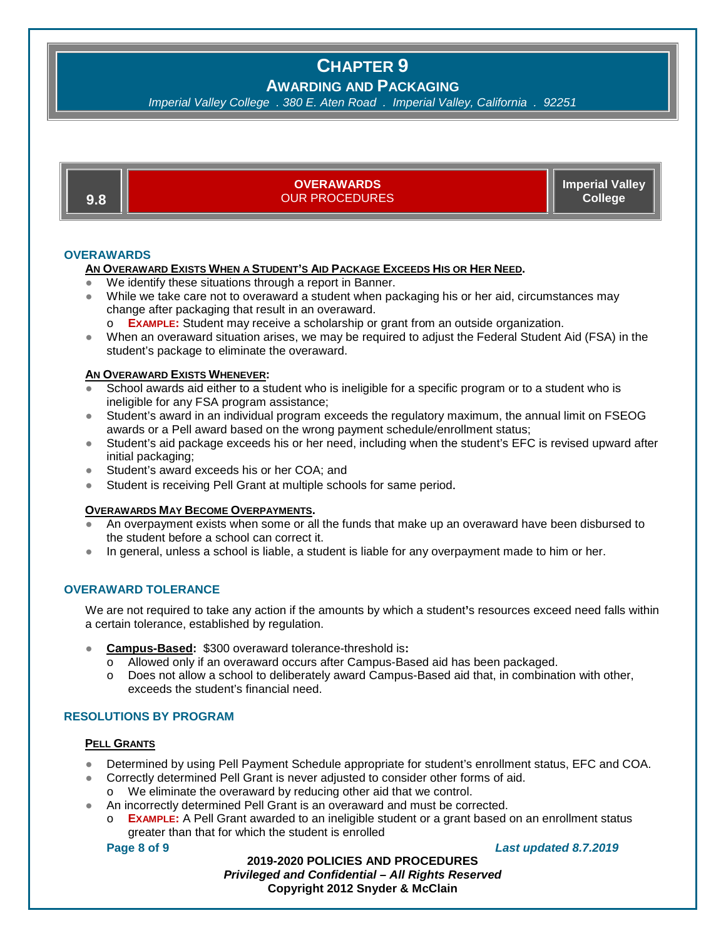# **AWARDING AND PACKAGING**

*Imperial Valley College . 380 E. Aten Road . Imperial Valley, California . 92251*

**9.8 OVERAWARDS**  OUR PROCEDURES **Imperial Valley College**

## **OVERAWARDS**

### **AN OVERAWARD EXISTS WHEN A STUDENT'S AID PACKAGE EXCEEDS HIS OR HER NEED.**

- We identify these situations through a report in Banner.
- While we take care not to overaward a student when packaging his or her aid, circumstances may change after packaging that result in an overaward.
	- o **EXAMPLE:** Student may receive a scholarship or grant from an outside organization.
- When an overaward situation arises, we may be required to adjust the Federal Student Aid (FSA) in the student's package to eliminate the overaward.

## **AN OVERAWARD EXISTS WHENEVER:**

- School awards aid either to a student who is ineligible for a specific program or to a student who is ineligible for any FSA program assistance;
- Student's award in an individual program exceeds the regulatory maximum, the annual limit on FSEOG awards or a Pell award based on the wrong payment schedule/enrollment status;
- Student's aid package exceeds his or her need, including when the student's EFC is revised upward after initial packaging;
- Student's award exceeds his or her COA; and
- Student is receiving Pell Grant at multiple schools for same period.

### **OVERAWARDS MAY BECOME OVERPAYMENTS.**

- An overpayment exists when some or all the funds that make up an overaward have been disbursed to the student before a school can correct it.
- In general, unless a school is liable, a student is liable for any overpayment made to him or her.

## **OVERAWARD TOLERANCE**

We are not required to take any action if the amounts by which a student**'**s resources exceed need falls within a certain tolerance, established by regulation.

- **Campus-Based:** \$300 overaward tolerance-threshold is**:**
	- o Allowed only if an overaward occurs after Campus-Based aid has been packaged.
	- o Does not allow a school to deliberately award Campus-Based aid that, in combination with other, exceeds the student's financial need.

## **RESOLUTIONS BY PROGRAM**

#### **PELL GRANTS**

- Determined by using Pell Payment Schedule appropriate for student's enrollment status, EFC and COA.
	- Correctly determined Pell Grant is never adjusted to consider other forms of aid.
	- o We eliminate the overaward by reducing other aid that we control.
- An incorrectly determined Pell Grant is an overaward and must be corrected.
	- o **EXAMPLE:** A Pell Grant awarded to an ineligible student or a grant based on an enrollment status greater than that for which the student is enrolled

## **Page 8 of 9** *Last updated 8.7.2019*